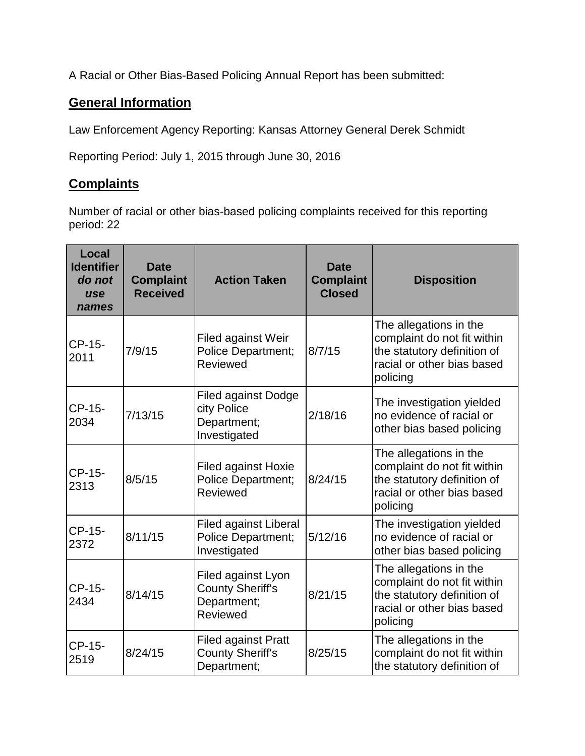A Racial or Other Bias-Based Policing Annual Report has been submitted:

## **General Information**

Law Enforcement Agency Reporting: Kansas Attorney General Derek Schmidt

Reporting Period: July 1, 2015 through June 30, 2016

## **Complaints**

Number of racial or other bias-based policing complaints received for this reporting period: 22

| Local<br><b>Identifier</b><br>do not<br>use<br>names | <b>Date</b><br><b>Complaint</b><br><b>Received</b> | <b>Action Taken</b>                                                      | <b>Date</b><br><b>Complaint</b><br><b>Closed</b> | <b>Disposition</b>                                                                                                             |
|------------------------------------------------------|----------------------------------------------------|--------------------------------------------------------------------------|--------------------------------------------------|--------------------------------------------------------------------------------------------------------------------------------|
| CP-15-<br>2011                                       | 7/9/15                                             | Filed against Weir<br><b>Police Department;</b><br>Reviewed              | 8/7/15                                           | The allegations in the<br>complaint do not fit within<br>the statutory definition of<br>racial or other bias based<br>policing |
| CP-15-<br>2034                                       | 7/13/15                                            | <b>Filed against Dodge</b><br>city Police<br>Department;<br>Investigated | 2/18/16                                          | The investigation yielded<br>no evidence of racial or<br>other bias based policing                                             |
| CP-15-<br>2313                                       | 8/5/15                                             | <b>Filed against Hoxie</b><br><b>Police Department;</b><br>Reviewed      | 8/24/15                                          | The allegations in the<br>complaint do not fit within<br>the statutory definition of<br>racial or other bias based<br>policing |
| CP-15-<br>2372                                       | 8/11/15                                            | <b>Filed against Liberal</b><br>Police Department;<br>Investigated       | 5/12/16                                          | The investigation yielded<br>no evidence of racial or<br>other bias based policing                                             |
| CP-15-<br>2434                                       | 8/14/15                                            | Filed against Lyon<br>County Sheriff's<br>Department;<br>Reviewed        | 8/21/15                                          | The allegations in the<br>complaint do not fit within<br>the statutory definition of<br>racial or other bias based<br>policing |
| CP-15-<br>2519                                       | 8/24/15                                            | <b>Filed against Pratt</b><br><b>County Sheriff's</b><br>Department;     | 8/25/15                                          | The allegations in the<br>complaint do not fit within<br>the statutory definition of                                           |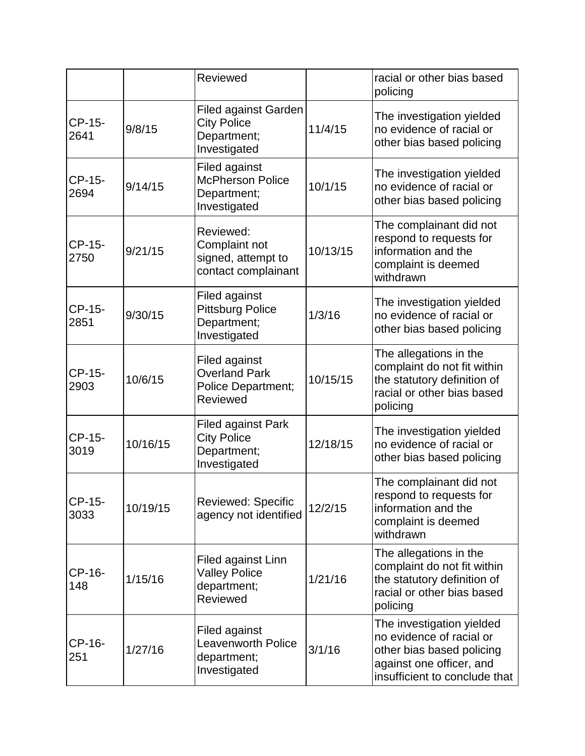|                |          | Reviewed                                                                              |          | racial or other bias based<br>policing                                                                                                          |
|----------------|----------|---------------------------------------------------------------------------------------|----------|-------------------------------------------------------------------------------------------------------------------------------------------------|
| CP-15-<br>2641 | 9/8/15   | <b>Filed against Garden</b><br><b>City Police</b><br>Department;<br>Investigated      | 11/4/15  | The investigation yielded<br>no evidence of racial or<br>other bias based policing                                                              |
| CP-15-<br>2694 | 9/14/15  | <b>Filed against</b><br><b>McPherson Police</b><br>Department;<br>Investigated        | 10/1/15  | The investigation yielded<br>no evidence of racial or<br>other bias based policing                                                              |
| CP-15-<br>2750 | 9/21/15  | Reviewed:<br>Complaint not<br>signed, attempt to<br>contact complainant               | 10/13/15 | The complainant did not<br>respond to requests for<br>information and the<br>complaint is deemed<br>withdrawn                                   |
| CP-15-<br>2851 | 9/30/15  | Filed against<br><b>Pittsburg Police</b><br>Department;<br>Investigated               | 1/3/16   | The investigation yielded<br>no evidence of racial or<br>other bias based policing                                                              |
| CP-15-<br>2903 | 10/6/15  | <b>Filed against</b><br><b>Overland Park</b><br>Police Department;<br><b>Reviewed</b> | 10/15/15 | The allegations in the<br>complaint do not fit within<br>the statutory definition of<br>racial or other bias based<br>policing                  |
| CP-15-<br>3019 | 10/16/15 | <b>Filed against Park</b><br><b>City Police</b><br>Department;<br>Investigated        | 12/18/15 | The investigation yielded<br>no evidence of racial or<br>other bias based policing                                                              |
| CP-15-<br>3033 | 10/19/15 | Reviewed: Specific<br>agency not identified                                           | 12/2/15  | The complainant did not<br>respond to requests for<br>information and the<br>complaint is deemed<br>withdrawn                                   |
| CP-16-<br>148  | 1/15/16  | Filed against Linn<br><b>Valley Police</b><br>department;<br>Reviewed                 | 1/21/16  | The allegations in the<br>complaint do not fit within<br>the statutory definition of<br>racial or other bias based<br>policing                  |
| CP-16-<br>251  | 1/27/16  | <b>Filed against</b><br><b>Leavenworth Police</b><br>department;<br>Investigated      | 3/1/16   | The investigation yielded<br>no evidence of racial or<br>other bias based policing<br>against one officer, and<br>insufficient to conclude that |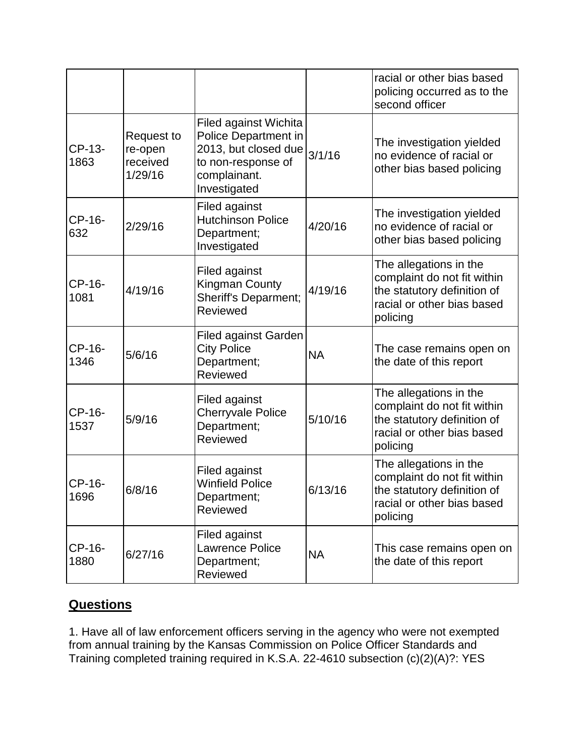|                |                                                     |                                                                                                                             |           | racial or other bias based<br>policing occurred as to the<br>second officer                                                    |
|----------------|-----------------------------------------------------|-----------------------------------------------------------------------------------------------------------------------------|-----------|--------------------------------------------------------------------------------------------------------------------------------|
| CP-13-<br>1863 | <b>Request to</b><br>re-open<br>received<br>1/29/16 | Filed against Wichita<br>Police Department in<br>2013, but closed due<br>to non-response of<br>complainant.<br>Investigated | 3/1/16    | The investigation yielded<br>no evidence of racial or<br>other bias based policing                                             |
| CP-16-<br>632  | 2/29/16                                             | Filed against<br><b>Hutchinson Police</b><br>Department;<br>Investigated                                                    | 4/20/16   | The investigation yielded<br>no evidence of racial or<br>other bias based policing                                             |
| CP-16-<br>1081 | 4/19/16                                             | Filed against<br><b>Kingman County</b><br><b>Sheriff's Deparment;</b><br>Reviewed                                           | 4/19/16   | The allegations in the<br>complaint do not fit within<br>the statutory definition of<br>racial or other bias based<br>policing |
| CP-16-<br>1346 | 5/6/16                                              | <b>Filed against Garden</b><br><b>City Police</b><br>Department;<br>Reviewed                                                | <b>NA</b> | The case remains open on<br>the date of this report                                                                            |
| CP-16-<br>1537 | 5/9/16                                              | Filed against<br><b>Cherryvale Police</b><br>Department;<br>Reviewed                                                        | 5/10/16   | The allegations in the<br>complaint do not fit within<br>the statutory definition of<br>racial or other bias based<br>policing |
| CP-16-<br>1696 | 6/8/16                                              | Filed against<br><b>Winfield Police</b><br>Department;<br>Reviewed                                                          | 6/13/16   | The allegations in the<br>complaint do not fit within<br>the statutory definition of<br>racial or other bias based<br>policing |
| CP-16-<br>1880 | 6/27/16                                             | Filed against<br>Lawrence Police<br>Department;<br>Reviewed                                                                 | <b>NA</b> | This case remains open on<br>the date of this report                                                                           |

## **Questions**

1. Have all of law enforcement officers serving in the agency who were not exempted from annual training by the Kansas Commission on Police Officer Standards and Training completed training required in K.S.A. 22-4610 subsection (c)(2)(A)?: YES